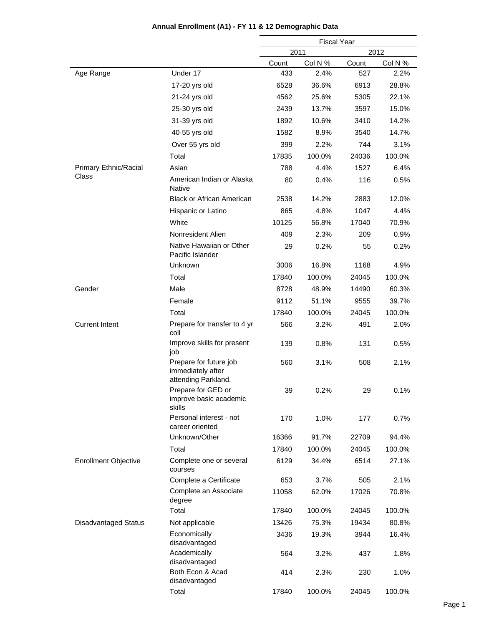|                             |                                                                    | <b>Fiscal Year</b> |         |       |         |
|-----------------------------|--------------------------------------------------------------------|--------------------|---------|-------|---------|
|                             |                                                                    |                    | 2011    |       | 2012    |
|                             |                                                                    | Count              | Col N % | Count | Col N % |
| Age Range                   | Under 17                                                           | 433                | 2.4%    | 527   | 2.2%    |
|                             | 17-20 yrs old                                                      | 6528               | 36.6%   | 6913  | 28.8%   |
|                             | 21-24 yrs old                                                      | 4562               | 25.6%   | 5305  | 22.1%   |
|                             | 25-30 yrs old                                                      | 2439               | 13.7%   | 3597  | 15.0%   |
|                             | 31-39 yrs old                                                      | 1892               | 10.6%   | 3410  | 14.2%   |
|                             | 40-55 yrs old                                                      | 1582               | 8.9%    | 3540  | 14.7%   |
|                             | Over 55 yrs old                                                    | 399                | 2.2%    | 744   | 3.1%    |
|                             | Total                                                              | 17835              | 100.0%  | 24036 | 100.0%  |
| Primary Ethnic/Racial       | Asian                                                              | 788                | 4.4%    | 1527  | 6.4%    |
| Class                       | American Indian or Alaska<br><b>Native</b>                         | 80                 | 0.4%    | 116   | 0.5%    |
|                             | <b>Black or African American</b>                                   | 2538               | 14.2%   | 2883  | 12.0%   |
|                             | Hispanic or Latino                                                 | 865                | 4.8%    | 1047  | 4.4%    |
|                             | White                                                              | 10125              | 56.8%   | 17040 | 70.9%   |
|                             | Nonresident Alien                                                  | 409                | 2.3%    | 209   | 0.9%    |
|                             | Native Hawaiian or Other<br>Pacific Islander                       | 29                 | 0.2%    | 55    | 0.2%    |
|                             | Unknown                                                            | 3006               | 16.8%   | 1168  | 4.9%    |
|                             | Total                                                              | 17840              | 100.0%  | 24045 | 100.0%  |
| Gender                      | Male                                                               | 8728               | 48.9%   | 14490 | 60.3%   |
|                             | Female                                                             | 9112               | 51.1%   | 9555  | 39.7%   |
|                             | Total                                                              | 17840              | 100.0%  | 24045 | 100.0%  |
| <b>Current Intent</b>       | Prepare for transfer to 4 yr<br>coll                               | 566                | 3.2%    | 491   | 2.0%    |
|                             | Improve skills for present<br>job                                  | 139                | 0.8%    | 131   | 0.5%    |
|                             | Prepare for future job<br>immediately after<br>attending Parkland. | 560                | 3.1%    | 508   | 2.1%    |
|                             | Prepare for GED or<br>improve basic academic<br>skills             | 39                 | 0.2%    | 29    | 0.1%    |
|                             | Personal interest - not<br>career oriented                         | 170                | 1.0%    | 177   | 0.7%    |
|                             | Unknown/Other                                                      | 16366              | 91.7%   | 22709 | 94.4%   |
|                             | Total                                                              | 17840              | 100.0%  | 24045 | 100.0%  |
| <b>Enrollment Objective</b> | Complete one or several<br>courses                                 | 6129               | 34.4%   | 6514  | 27.1%   |
|                             | Complete a Certificate                                             | 653                | 3.7%    | 505   | 2.1%    |
|                             | Complete an Associate<br>degree                                    | 11058              | 62.0%   | 17026 | 70.8%   |
|                             | Total                                                              | 17840              | 100.0%  | 24045 | 100.0%  |
| <b>Disadvantaged Status</b> | Not applicable                                                     | 13426              | 75.3%   | 19434 | 80.8%   |
|                             | Economically<br>disadvantaged                                      | 3436               | 19.3%   | 3944  | 16.4%   |
|                             | Academically<br>disadvantaged                                      | 564                | 3.2%    | 437   | 1.8%    |
|                             | Both Econ & Acad<br>disadvantaged                                  | 414                | 2.3%    | 230   | 1.0%    |
|                             | Total                                                              | 17840              | 100.0%  | 24045 | 100.0%  |

#### **Annual Enrollment (A1) - FY 11 & 12 Demographic Data**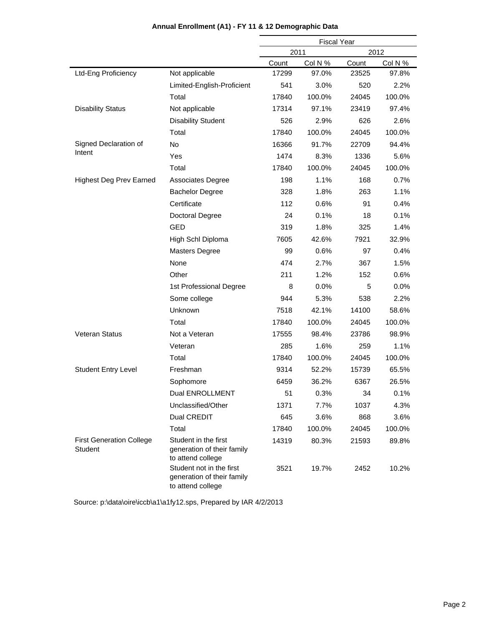|                                                   |                                                                             | <b>Fiscal Year</b> |         |       |         |
|---------------------------------------------------|-----------------------------------------------------------------------------|--------------------|---------|-------|---------|
|                                                   |                                                                             |                    | 2011    |       | 2012    |
|                                                   |                                                                             | Count              | Col N % | Count | Col N % |
| Ltd-Eng Proficiency                               | Not applicable                                                              | 17299              | 97.0%   | 23525 | 97.8%   |
|                                                   | Limited-English-Proficient                                                  | 541                | 3.0%    | 520   | 2.2%    |
|                                                   | Total                                                                       | 17840              | 100.0%  | 24045 | 100.0%  |
| <b>Disability Status</b>                          | Not applicable                                                              | 17314              | 97.1%   | 23419 | 97.4%   |
|                                                   | <b>Disability Student</b>                                                   | 526                | 2.9%    | 626   | 2.6%    |
|                                                   | Total                                                                       | 17840              | 100.0%  | 24045 | 100.0%  |
| Signed Declaration of                             | <b>No</b>                                                                   | 16366              | 91.7%   | 22709 | 94.4%   |
| Intent                                            | Yes                                                                         | 1474               | 8.3%    | 1336  | 5.6%    |
|                                                   | Total                                                                       | 17840              | 100.0%  | 24045 | 100.0%  |
| <b>Highest Deg Prev Earned</b>                    | <b>Associates Degree</b>                                                    | 198                | 1.1%    | 168   | 0.7%    |
|                                                   | <b>Bachelor Degree</b>                                                      | 328                | 1.8%    | 263   | 1.1%    |
|                                                   | Certificate                                                                 | 112                | 0.6%    | 91    | 0.4%    |
|                                                   | Doctoral Degree                                                             | 24                 | 0.1%    | 18    | 0.1%    |
|                                                   | GED                                                                         | 319                | 1.8%    | 325   | 1.4%    |
|                                                   | High Schl Diploma                                                           | 7605               | 42.6%   | 7921  | 32.9%   |
|                                                   | <b>Masters Degree</b>                                                       | 99                 | 0.6%    | 97    | 0.4%    |
|                                                   | None                                                                        | 474                | 2.7%    | 367   | 1.5%    |
|                                                   | Other                                                                       | 211                | 1.2%    | 152   | 0.6%    |
|                                                   | 1st Professional Degree                                                     | 8                  | 0.0%    | 5     | 0.0%    |
|                                                   | Some college                                                                | 944                | 5.3%    | 538   | 2.2%    |
|                                                   | Unknown                                                                     | 7518               | 42.1%   | 14100 | 58.6%   |
|                                                   | Total                                                                       | 17840              | 100.0%  | 24045 | 100.0%  |
| Veteran Status                                    | Not a Veteran                                                               | 17555              | 98.4%   | 23786 | 98.9%   |
|                                                   | Veteran                                                                     | 285                | 1.6%    | 259   | 1.1%    |
|                                                   | Total                                                                       | 17840              | 100.0%  | 24045 | 100.0%  |
| <b>Student Entry Level</b>                        | Freshman                                                                    | 9314               | 52.2%   | 15739 | 65.5%   |
|                                                   | Sophomore                                                                   | 6459               | 36.2%   | 6367  | 26.5%   |
|                                                   | Dual ENROLLMENT                                                             | 51                 | 0.3%    | 34    | 0.1%    |
|                                                   | Unclassified/Other                                                          | 1371               | 7.7%    | 1037  | 4.3%    |
|                                                   | Dual CREDIT                                                                 | 645                | 3.6%    | 868   | 3.6%    |
|                                                   | Total                                                                       | 17840              | 100.0%  | 24045 | 100.0%  |
| <b>First Generation College</b><br><b>Student</b> | Student in the first<br>generation of their family<br>to attend college     | 14319              | 80.3%   | 21593 | 89.8%   |
|                                                   | Student not in the first<br>generation of their family<br>to attend college | 3521               | 19.7%   | 2452  | 10.2%   |

## **Annual Enrollment (A1) - FY 11 & 12 Demographic Data**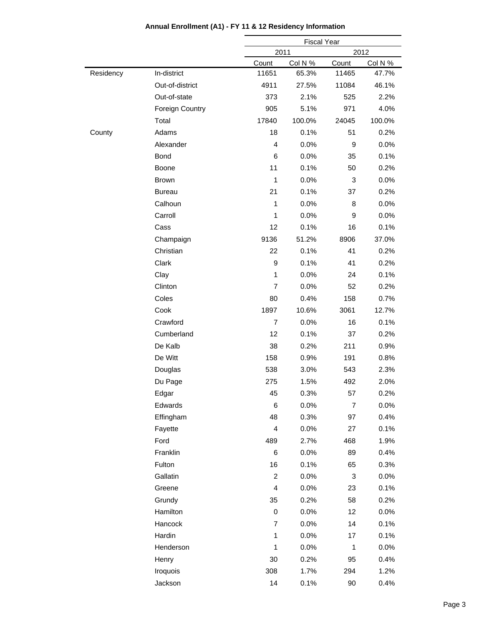|           |                        |                         | <b>Fiscal Year</b> |                |         |
|-----------|------------------------|-------------------------|--------------------|----------------|---------|
|           |                        | 2011                    |                    | 2012           |         |
|           |                        | Count                   | Col N %            | Count          | Col N % |
| Residency | In-district            | 11651                   | 65.3%              | 11465          | 47.7%   |
|           | Out-of-district        | 4911                    | 27.5%              | 11084          | 46.1%   |
|           | Out-of-state           | 373                     | 2.1%               | 525            | 2.2%    |
|           | <b>Foreign Country</b> | 905                     | 5.1%               | 971            | 4.0%    |
|           | Total                  | 17840                   | 100.0%             | 24045          | 100.0%  |
| County    | Adams                  | 18                      | 0.1%               | 51             | 0.2%    |
|           | Alexander              | $\overline{4}$          | 0.0%               | 9              | 0.0%    |
|           | Bond                   | 6                       | 0.0%               | 35             | 0.1%    |
|           | Boone                  | 11                      | 0.1%               | 50             | 0.2%    |
|           | <b>Brown</b>           | 1                       | 0.0%               | 3              | 0.0%    |
|           | <b>Bureau</b>          | 21                      | 0.1%               | 37             | 0.2%    |
|           | Calhoun                | 1                       | 0.0%               | 8              | 0.0%    |
|           | Carroll                | 1                       | 0.0%               | 9              | 0.0%    |
|           | Cass                   | 12                      | 0.1%               | 16             | 0.1%    |
|           | Champaign              | 9136                    | 51.2%              | 8906           | 37.0%   |
|           | Christian              | 22                      | 0.1%               | 41             | 0.2%    |
|           | Clark                  | 9                       | 0.1%               | 41             | 0.2%    |
|           | Clay                   | $\mathbf{1}$            | 0.0%               | 24             | 0.1%    |
|           | Clinton                | $\overline{7}$          | 0.0%               | 52             | 0.2%    |
|           | Coles                  | 80                      | 0.4%               | 158            | 0.7%    |
|           | Cook                   | 1897                    | 10.6%              | 3061           | 12.7%   |
|           | Crawford               | $\overline{7}$          | 0.0%               | 16             | 0.1%    |
|           | Cumberland             | 12                      | 0.1%               | 37             | 0.2%    |
|           | De Kalb                | 38                      | 0.2%               | 211            | 0.9%    |
|           | De Witt                | 158                     | 0.9%               | 191            | 0.8%    |
|           | Douglas                | 538                     | 3.0%               | 543            | 2.3%    |
|           | Du Page                | 275                     | 1.5%               | 492            | 2.0%    |
|           | Edgar                  | 45                      | 0.3%               | 57             | 0.2%    |
|           | Edwards                | 6                       | 0.0%               | $\overline{7}$ | 0.0%    |
|           | Effingham              | 48                      | 0.3%               | 97             | 0.4%    |
|           | Fayette                | 4                       | 0.0%               | 27             | 0.1%    |
|           | Ford                   | 489                     | 2.7%               | 468            | 1.9%    |
|           | Franklin               | 6                       | $0.0\%$            | 89             | 0.4%    |
|           | Fulton                 | 16                      | 0.1%               | 65             | 0.3%    |
|           | Gallatin               | $\overline{c}$          | 0.0%               | 3              | 0.0%    |
|           | Greene                 | $\overline{\mathbf{4}}$ | 0.0%               | 23             | 0.1%    |
|           | Grundy                 | 35                      | 0.2%               | 58             | 0.2%    |
|           | Hamilton               | 0                       | 0.0%               | 12             | 0.0%    |
|           | Hancock                | $\overline{7}$          | 0.0%               | 14             | 0.1%    |
|           | Hardin                 | $\mathbf 1$             | 0.0%               | 17             | 0.1%    |
|           | Henderson              | $\mathbf 1$             | 0.0%               | $\mathbf{1}$   | 0.0%    |
|           | Henry                  | 30                      | 0.2%               | 95             | 0.4%    |
|           | Iroquois               | 308                     | 1.7%               | 294            | 1.2%    |
|           | Jackson                | 14                      | 0.1%               | 90             | 0.4%    |
|           |                        |                         |                    |                |         |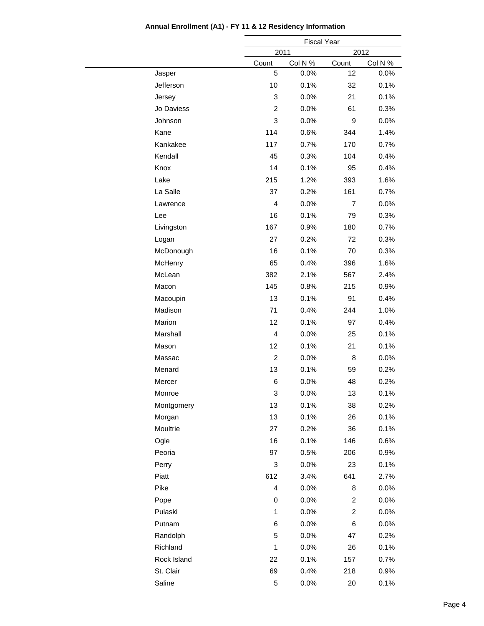|             |                         | <b>Fiscal Year</b> |                |         |
|-------------|-------------------------|--------------------|----------------|---------|
|             | 2011                    |                    | 2012           |         |
|             | Count                   | Col N %            | Count          | Col N % |
| Jasper      | 5                       | 0.0%               | 12             | 0.0%    |
| Jefferson   | 10                      | 0.1%               | 32             | 0.1%    |
| Jersey      | 3                       | 0.0%               | 21             | 0.1%    |
| Jo Daviess  | $\overline{c}$          | 0.0%               | 61             | 0.3%    |
| Johnson     | 3                       | 0.0%               | 9              | 0.0%    |
| Kane        | 114                     | 0.6%               | 344            | 1.4%    |
| Kankakee    | 117                     | 0.7%               | 170            | 0.7%    |
| Kendall     | 45                      | 0.3%               | 104            | 0.4%    |
| Knox        | 14                      | 0.1%               | 95             | 0.4%    |
| Lake        | 215                     | 1.2%               | 393            | 1.6%    |
| La Salle    | 37                      | 0.2%               | 161            | 0.7%    |
| Lawrence    | 4                       | 0.0%               | $\overline{7}$ | 0.0%    |
| Lee         | 16                      | 0.1%               | 79             | 0.3%    |
| Livingston  | 167                     | 0.9%               | 180            | 0.7%    |
| Logan       | 27                      | 0.2%               | 72             | 0.3%    |
| McDonough   | 16                      | 0.1%               | 70             | 0.3%    |
| McHenry     | 65                      | 0.4%               | 396            | 1.6%    |
| McLean      | 382                     | 2.1%               | 567            | 2.4%    |
| Macon       | 145                     | 0.8%               | 215            | 0.9%    |
| Macoupin    | 13                      | 0.1%               | 91             | 0.4%    |
| Madison     | 71                      | 0.4%               | 244            | 1.0%    |
| Marion      | 12                      | 0.1%               | 97             | 0.4%    |
| Marshall    | $\overline{4}$          | 0.0%               | 25             | 0.1%    |
| Mason       | 12                      | 0.1%               | 21             | 0.1%    |
| Massac      | $\overline{c}$          | 0.0%               | 8              | 0.0%    |
| Menard      | 13                      | 0.1%               | 59             | 0.2%    |
| Mercer      | 6                       | 0.0%               | 48             | 0.2%    |
| Monroe      | 3                       | 0.0%               | 13             | 0.1%    |
| Montgomery  | 13                      | 0.1%               | 38             | 0.2%    |
| Morgan      | 13                      | 0.1%               | 26             | 0.1%    |
| Moultrie    | 27                      | 0.2%               | 36             | 0.1%    |
| Ogle        | 16                      | 0.1%               | 146            | 0.6%    |
| Peoria      | 97                      | 0.5%               | 206            | 0.9%    |
| Perry       | 3                       | $0.0\%$            | 23             | 0.1%    |
| Piatt       | 612                     | 3.4%               | 641            | 2.7%    |
| Pike        | $\overline{\mathbf{4}}$ | $0.0\%$            | 8              | 0.0%    |
| Pope        | 0                       | 0.0%               | $\overline{c}$ | 0.0%    |
| Pulaski     | $\mathbf{1}$            | 0.0%               | $\overline{c}$ | 0.0%    |
| Putnam      | 6                       | 0.0%               | 6              | $0.0\%$ |
| Randolph    | 5                       | 0.0%               | 47             | 0.2%    |
| Richland    | $\mathbf{1}$            | $0.0\%$            | 26             | 0.1%    |
| Rock Island | 22                      | 0.1%               | 157            | 0.7%    |
| St. Clair   | 69                      | 0.4%               | 218            | 0.9%    |
|             |                         |                    |                |         |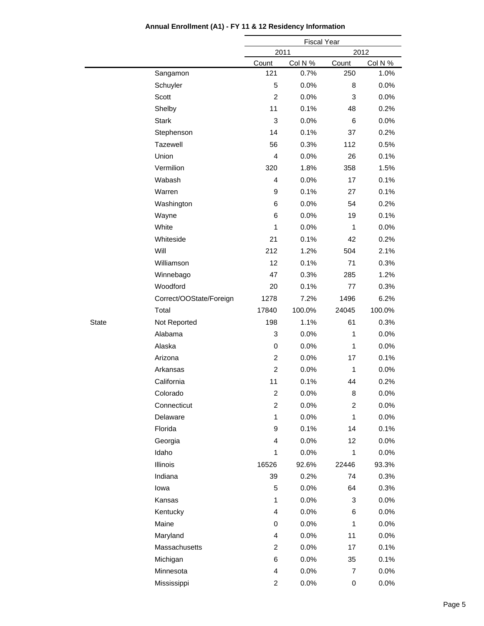|       |                         |                         | <b>Fiscal Year</b> |              |         |
|-------|-------------------------|-------------------------|--------------------|--------------|---------|
|       |                         |                         | 2011               | 2012         |         |
|       |                         | Count                   | Col N %            | Count        | Col N % |
|       | Sangamon                | 121                     | 0.7%               | 250          | 1.0%    |
|       | Schuyler                | 5                       | 0.0%               | 8            | 0.0%    |
|       | Scott                   | 2                       | 0.0%               | 3            | 0.0%    |
|       | Shelby                  | 11                      | 0.1%               | 48           | 0.2%    |
|       | <b>Stark</b>            | 3                       | 0.0%               | 6            | $0.0\%$ |
|       | Stephenson              | 14                      | 0.1%               | 37           | 0.2%    |
|       | Tazewell                | 56                      | 0.3%               | 112          | 0.5%    |
|       | Union                   | $\overline{4}$          | 0.0%               | 26           | 0.1%    |
|       | Vermilion               | 320                     | 1.8%               | 358          | 1.5%    |
|       | Wabash                  | $\overline{4}$          | 0.0%               | 17           | 0.1%    |
|       | Warren                  | 9                       | 0.1%               | 27           | 0.1%    |
|       | Washington              | 6                       | 0.0%               | 54           | 0.2%    |
|       | Wayne                   | 6                       | 0.0%               | 19           | 0.1%    |
|       | White                   | $\mathbf{1}$            | 0.0%               | $\mathbf{1}$ | 0.0%    |
|       | Whiteside               | 21                      | 0.1%               | 42           | 0.2%    |
|       | Will                    | 212                     | 1.2%               | 504          | 2.1%    |
|       | Williamson              | 12                      | 0.1%               | 71           | 0.3%    |
|       | Winnebago               | 47                      | 0.3%               | 285          | 1.2%    |
|       | Woodford                | 20                      | 0.1%               | 77           | 0.3%    |
|       | Correct/OOState/Foreign | 1278                    | 7.2%               | 1496         | 6.2%    |
|       | Total                   | 17840                   | 100.0%             | 24045        | 100.0%  |
| State | Not Reported            | 198                     | 1.1%               | 61           | 0.3%    |
|       | Alabama                 | 3                       | 0.0%               | $\mathbf{1}$ | 0.0%    |
|       | Alaska                  | 0                       | 0.0%               | $\mathbf{1}$ | 0.0%    |
|       | Arizona                 | 2                       | 0.0%               | 17           | 0.1%    |
|       | Arkansas                | $\overline{c}$          | 0.0%               | $\mathbf{1}$ | 0.0%    |
|       | California              | 11                      | 0.1%               | 44           | 0.2%    |
|       | Colorado                | $\overline{\mathbf{c}}$ | 0.0%               | 8            | 0.0%    |
|       | Connecticut             | $\overline{\mathbf{c}}$ | 0.0%               | 2            | 0.0%    |
|       | Delaware                | $\mathbf{1}$            | 0.0%               | $\mathbf{1}$ | 0.0%    |
|       | Florida                 | 9                       | 0.1%               | 14           | 0.1%    |
|       | Georgia                 | $\overline{4}$          | 0.0%               | 12           | 0.0%    |
|       | Idaho                   | $\mathbf{1}$            | 0.0%               | $\mathbf{1}$ | 0.0%    |
|       | Illinois                | 16526                   | 92.6%              | 22446        | 93.3%   |
|       | Indiana                 | 39                      | 0.2%               | 74           | 0.3%    |
|       | lowa                    | 5                       | 0.0%               | 64           | 0.3%    |
|       | Kansas                  | $\mathbf{1}$            | 0.0%               | 3            | 0.0%    |
|       | Kentucky                | 4                       | 0.0%               | 6            | 0.0%    |
|       | Maine                   | 0                       | 0.0%               | 1            | 0.0%    |
|       | Maryland                | 4                       | 0.0%               | 11           | 0.0%    |
|       | Massachusetts           | $\overline{\mathbf{c}}$ | 0.0%               | 17           | 0.1%    |
|       | Michigan                | 6                       | 0.0%               | 35           | 0.1%    |
|       | Minnesota               | 4                       | 0.0%               | 7            | 0.0%    |
|       |                         |                         |                    |              |         |
|       | Mississippi             | $\overline{\mathbf{c}}$ | 0.0%               | 0            | 0.0%    |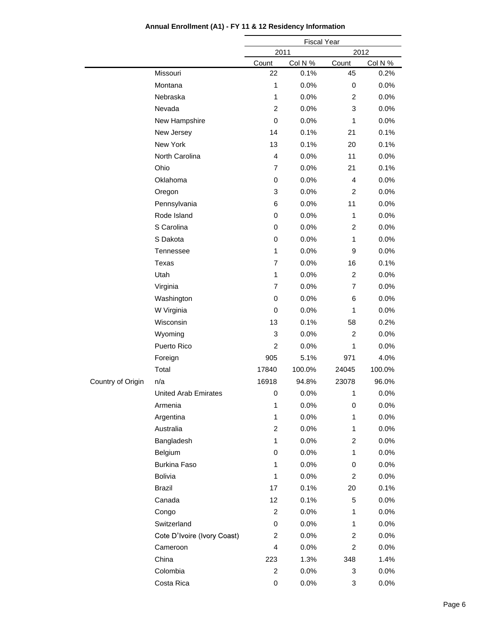|                   |                             |                | <b>Fiscal Year</b> |                |         |
|-------------------|-----------------------------|----------------|--------------------|----------------|---------|
|                   |                             | 2011           |                    |                | 2012    |
|                   |                             | Count          | Col N %            | Count          | Col N % |
|                   | Missouri                    | 22             | 0.1%               | 45             | 0.2%    |
|                   | Montana                     | $\mathbf{1}$   | 0.0%               | 0              | 0.0%    |
|                   | Nebraska                    | $\mathbf{1}$   | 0.0%               | 2              | 0.0%    |
|                   | Nevada                      | $\overline{2}$ | 0.0%               | 3              | 0.0%    |
|                   | New Hampshire               | $\mathbf 0$    | 0.0%               | 1              | 0.0%    |
|                   | New Jersey                  | 14             | 0.1%               | 21             | 0.1%    |
|                   | New York                    | 13             | 0.1%               | 20             | 0.1%    |
|                   | North Carolina              | $\overline{4}$ | 0.0%               | 11             | 0.0%    |
|                   | Ohio                        | $\overline{7}$ | 0.0%               | 21             | 0.1%    |
|                   | Oklahoma                    | $\mathbf 0$    | 0.0%               | 4              | 0.0%    |
|                   | Oregon                      | 3              | 0.0%               | $\overline{2}$ | 0.0%    |
|                   | Pennsylvania                | 6              | 0.0%               | 11             | 0.0%    |
|                   | Rode Island                 | 0              | 0.0%               | 1              | 0.0%    |
|                   | S Carolina                  | $\mathbf 0$    | 0.0%               | $\overline{2}$ | 0.0%    |
|                   | S Dakota                    | 0              | 0.0%               | 1              | 0.0%    |
|                   | Tennessee                   | 1              | 0.0%               | 9              | 0.0%    |
|                   | Texas                       | $\overline{7}$ | 0.0%               | 16             | 0.1%    |
|                   | Utah                        | 1              | 0.0%               | $\overline{2}$ | 0.0%    |
|                   | Virginia                    | $\overline{7}$ | 0.0%               | $\overline{7}$ | 0.0%    |
|                   | Washington                  | $\mathbf 0$    | 0.0%               | 6              | 0.0%    |
|                   | W Virginia                  | $\mathbf 0$    | 0.0%               | 1              | 0.0%    |
|                   | Wisconsin                   | 13             | 0.1%               | 58             | 0.2%    |
|                   | Wyoming                     | 3              | 0.0%               | $\overline{2}$ | 0.0%    |
|                   | Puerto Rico                 | $\overline{2}$ | 0.0%               | 1              | 0.0%    |
|                   | Foreign                     | 905            | 5.1%               | 971            | 4.0%    |
|                   | Total                       | 17840          | 100.0%             | 24045          | 100.0%  |
| Country of Origin | n/a                         | 16918          | 94.8%              | 23078          | 96.0%   |
|                   | <b>United Arab Emirates</b> | $\pmb{0}$      | 0.0%               | $\mathbf{1}$   | 0.0%    |
|                   | Armenia                     | 1              | 0.0%               | 0              | 0.0%    |
|                   | Argentina                   | $\mathbf{1}$   | 0.0%               | 1              | 0.0%    |
|                   | Australia                   | $\overline{2}$ | 0.0%               | 1              | 0.0%    |
|                   | Bangladesh                  | $\mathbf{1}$   | 0.0%               | $\overline{c}$ | 0.0%    |
|                   | Belgium                     | 0              | 0.0%               | 1              | 0.0%    |
|                   | Burkina Faso                | 1              | $0.0\%$            | 0              | 0.0%    |
|                   | <b>Bolivia</b>              | 1              | 0.0%               | 2              | 0.0%    |
|                   | <b>Brazil</b>               | 17             | 0.1%               | 20             | 0.1%    |
|                   | Canada                      | 12             | 0.1%               | 5              | 0.0%    |
|                   | Congo                       | $\overline{2}$ | $0.0\%$            | 1              | 0.0%    |
|                   | Switzerland                 | 0              | 0.0%               | 1              | 0.0%    |
|                   | Cote D'Ivoire (Ivory Coast) | $\overline{c}$ | 0.0%               | $\overline{c}$ | 0.0%    |
|                   |                             | 4              |                    | $\overline{c}$ |         |
|                   | Cameroon                    |                | 0.0%               |                | 0.0%    |
|                   | China                       | 223            | 1.3%               | 348            | 1.4%    |
|                   | Colombia                    | $\overline{2}$ | 0.0%               | 3              | 0.0%    |
|                   | Costa Rica                  | 0              | 0.0%               | 3              | 0.0%    |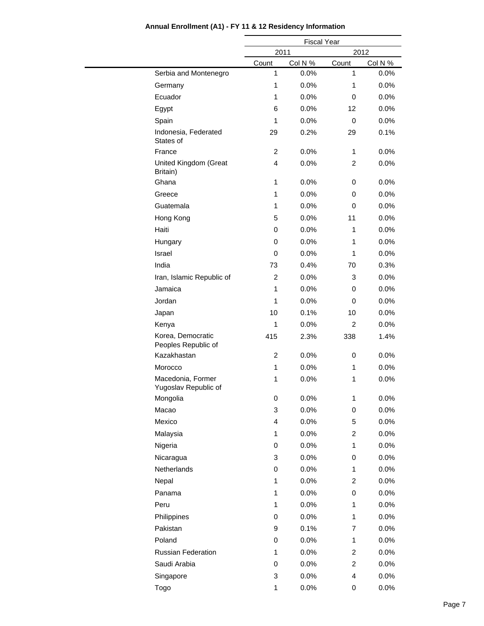|                                           |                         | <b>Fiscal Year</b> |                |         |  |
|-------------------------------------------|-------------------------|--------------------|----------------|---------|--|
|                                           | 2011                    |                    |                | 2012    |  |
|                                           | Count                   | Col N %            | Count          | Col N % |  |
| Serbia and Montenegro                     | 1                       | 0.0%               | 1              | 0.0%    |  |
| Germany                                   | 1                       | 0.0%               | 1              | 0.0%    |  |
| Ecuador                                   | $\mathbf{1}$            | 0.0%               | 0              | 0.0%    |  |
| Egypt                                     | 6                       | 0.0%               | 12             | 0.0%    |  |
| Spain                                     | 1                       | 0.0%               | 0              | 0.0%    |  |
| Indonesia, Federated<br>States of         | 29                      | 0.2%               | 29             | 0.1%    |  |
| France                                    | $\overline{c}$          | 0.0%               | 1              | 0.0%    |  |
| United Kingdom (Great<br>Britain)         | $\overline{4}$          | 0.0%               | $\overline{c}$ | 0.0%    |  |
| Ghana                                     | $\mathbf{1}$            | 0.0%               | 0              | 0.0%    |  |
| Greece                                    | 1                       | 0.0%               | 0              | 0.0%    |  |
| Guatemala                                 | 1                       | 0.0%               | 0              | 0.0%    |  |
| Hong Kong                                 | 5                       | 0.0%               | 11             | 0.0%    |  |
| Haiti                                     | 0                       | 0.0%               | 1              | 0.0%    |  |
| Hungary                                   | 0                       | 0.0%               | 1              | 0.0%    |  |
| Israel                                    | 0                       | 0.0%               | 1              | 0.0%    |  |
| India                                     | 73                      | 0.4%               | 70             | 0.3%    |  |
| Iran, Islamic Republic of                 | $\overline{c}$          | 0.0%               | 3              | 0.0%    |  |
| Jamaica                                   | 1                       | 0.0%               | 0              | 0.0%    |  |
| Jordan                                    | 1                       | 0.0%               | 0              | 0.0%    |  |
| Japan                                     | 10                      | 0.1%               | 10             | 0.0%    |  |
| Kenya                                     | 1                       | 0.0%               | $\overline{c}$ | 0.0%    |  |
| Korea, Democratic<br>Peoples Republic of  | 415                     | 2.3%               | 338            | 1.4%    |  |
| Kazakhastan                               | $\overline{c}$          | 0.0%               | 0              | 0.0%    |  |
| Morocco                                   | 1                       | 0.0%               | 1              | 0.0%    |  |
| Macedonia, Former<br>Yugoslav Republic of | 1                       | 0.0%               | 1              | 0.0%    |  |
| Mongolia                                  | 0                       | 0.0%               | 1              | 0.0%    |  |
| Macao                                     | 3                       | 0.0%               | 0              | 0.0%    |  |
| Mexico                                    | $\overline{\mathbf{4}}$ | 0.0%               | 5              | 0.0%    |  |
| Malaysia                                  | $\mathbf{1}$            | 0.0%               | $\overline{c}$ | 0.0%    |  |
| Nigeria                                   | 0                       | 0.0%               | $\mathbf{1}$   | 0.0%    |  |
| Nicaragua                                 | 3                       | 0.0%               | 0              | 0.0%    |  |
| Netherlands                               | 0                       | 0.0%               | 1              | 0.0%    |  |
| Nepal                                     | $\mathbf{1}$            | 0.0%               | $\overline{c}$ | 0.0%    |  |
| Panama                                    | 1                       | 0.0%               | 0              | 0.0%    |  |
| Peru                                      | 1                       | 0.0%               | 1              | 0.0%    |  |
| Philippines                               | 0                       | 0.0%               | 1              | 0.0%    |  |
| Pakistan                                  | 9                       | 0.1%               | $\overline{7}$ | 0.0%    |  |
| Poland                                    | 0                       | 0.0%               | 1              | 0.0%    |  |
| Russian Federation                        | 1                       | 0.0%               | $\overline{c}$ | 0.0%    |  |
| Saudi Arabia                              | 0                       | 0.0%               | $\overline{c}$ | 0.0%    |  |
| Singapore                                 | 3                       | 0.0%               | 4              | 0.0%    |  |
|                                           | 1                       | 0.0%               |                | 0.0%    |  |
| Togo                                      |                         |                    | 0              |         |  |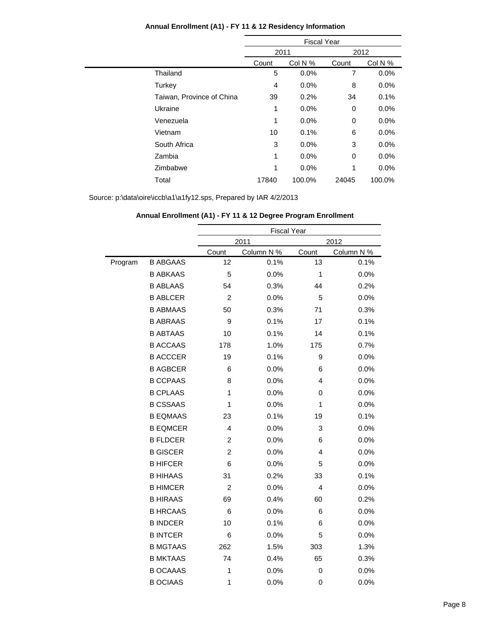|                           | <b>Fiscal Year</b> |         |       |         |
|---------------------------|--------------------|---------|-------|---------|
|                           | 2011               |         | 2012  |         |
|                           | Count              | Col N % | Count | Col N % |
| Thailand                  | 5                  | 0.0%    | 7     | 0.0%    |
| Turkey                    | 4                  | 0.0%    | 8     | 0.0%    |
| Taiwan, Province of China | 39                 | 0.2%    | 34    | 0.1%    |
| Ukraine                   | 1                  | 0.0%    | 0     | 0.0%    |
| Venezuela                 | 1                  | 0.0%    | 0     | 0.0%    |
| Vietnam                   | 10                 | 0.1%    | 6     | 0.0%    |
| South Africa              | 3                  | 0.0%    | 3     | 0.0%    |
| Zambia                    | 1                  | 0.0%    | 0     | 0.0%    |
| Zimbabwe                  | 1                  | 0.0%    | 1     | 0.0%    |
| Total                     | 17840              | 100.0%  | 24045 | 100.0%  |

|         |                 | <b>Fiscal Year</b> |            |              |            |
|---------|-----------------|--------------------|------------|--------------|------------|
|         |                 |                    | 2011       |              | 2012       |
|         |                 | Count              | Column N % | Count        | Column N % |
| Program | <b>B ABGAAS</b> | 12                 | 0.1%       | 13           | 0.1%       |
|         | <b>B ABKAAS</b> | 5                  | 0.0%       | $\mathbf{1}$ | 0.0%       |
|         | <b>B ABLAAS</b> | 54                 | 0.3%       | 44           | 0.2%       |
|         | <b>B ABLCER</b> | $\overline{c}$     | 0.0%       | 5            | 0.0%       |
|         | <b>B ABMAAS</b> | 50                 | 0.3%       | 71           | 0.3%       |
|         | <b>B ABRAAS</b> | 9                  | 0.1%       | 17           | 0.1%       |
|         | <b>B ABTAAS</b> | 10                 | 0.1%       | 14           | 0.1%       |
|         | <b>B ACCAAS</b> | 178                | 1.0%       | 175          | 0.7%       |
|         | <b>B ACCCER</b> | 19                 | 0.1%       | 9            | 0.0%       |
|         | <b>B AGBCER</b> | 6                  | 0.0%       | 6            | 0.0%       |
|         | <b>B CCPAAS</b> | 8                  | 0.0%       | 4            | 0.0%       |
|         | <b>B CPLAAS</b> | 1                  | 0.0%       | 0            | 0.0%       |
|         | <b>B CSSAAS</b> | 1                  | 0.0%       | 1            | 0.0%       |
|         | <b>B EQMAAS</b> | 23                 | 0.1%       | 19           | 0.1%       |
|         | <b>B EQMCER</b> | 4                  | 0.0%       | 3            | 0.0%       |
|         | <b>B FLDCER</b> | $\overline{2}$     | 0.0%       | 6            | 0.0%       |
|         | <b>B GISCER</b> | $\overline{2}$     | 0.0%       | 4            | 0.0%       |
|         | <b>B HIFCER</b> | 6                  | 0.0%       | 5            | 0.0%       |
|         | <b>B HIHAAS</b> | 31                 | 0.2%       | 33           | 0.1%       |
|         | <b>B HIMCER</b> | $\overline{2}$     | 0.0%       | 4            | 0.0%       |
|         | <b>B HIRAAS</b> | 69                 | 0.4%       | 60           | 0.2%       |
|         | <b>B HRCAAS</b> | 6                  | 0.0%       | 6            | 0.0%       |
|         | <b>B INDCER</b> | 10                 | 0.1%       | 6            | 0.0%       |
|         | <b>B INTCER</b> | 6                  | 0.0%       | 5            | 0.0%       |
|         | <b>B MGTAAS</b> | 262                | 1.5%       | 303          | 1.3%       |
|         | <b>B MKTAAS</b> | 74                 | 0.4%       | 65           | 0.3%       |
|         | <b>B OCAAAS</b> | $\mathbf{1}$       | 0.0%       | 0            | 0.0%       |
|         | <b>B OCIAAS</b> | 1                  | 0.0%       | 0            | 0.0%       |
|         |                 |                    |            |              |            |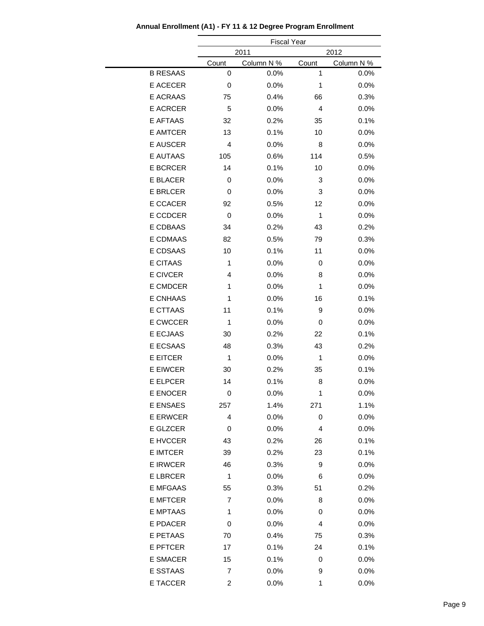|                 |              | <b>Fiscal Year</b> |                |            |
|-----------------|--------------|--------------------|----------------|------------|
|                 |              | 2011               |                | 2012       |
|                 | Count        | Column N %         | Count          | Column N % |
| <b>B RESAAS</b> | 0            | 0.0%               | 1              | 0.0%       |
| E ACECER        | 0            | 0.0%               | 1              | 0.0%       |
| <b>E ACRAAS</b> | 75           | 0.4%               | 66             | 0.3%       |
| <b>E ACRCER</b> | 5            | 0.0%               | $\overline{4}$ | 0.0%       |
| <b>E AFTAAS</b> | 32           | 0.2%               | 35             | 0.1%       |
| E AMTCER        | 13           | 0.1%               | 10             | 0.0%       |
| <b>E AUSCER</b> | 4            | 0.0%               | 8              | 0.0%       |
| E AUTAAS        | 105          | 0.6%               | 114            | 0.5%       |
| <b>E BCRCER</b> | 14           | 0.1%               | 10             | 0.0%       |
| E BLACER        | 0            | 0.0%               | 3              | 0.0%       |
| <b>E BRLCER</b> | 0            | 0.0%               | 3              | 0.0%       |
| E CCACER        | 92           | 0.5%               | 12             | 0.0%       |
| <b>E CCDCER</b> | 0            | 0.0%               | 1              | 0.0%       |
| E CDBAAS        | 34           | 0.2%               | 43             | 0.2%       |
| E CDMAAS        | 82           | 0.5%               | 79             | 0.3%       |
| E CDSAAS        | 10           | 0.1%               | 11             | 0.0%       |
| E CITAAS        | 1            | 0.0%               | 0              | 0.0%       |
| E CIVCER        | 4            | 0.0%               | 8              | 0.0%       |
| <b>E CMDCER</b> | 1            | 0.0%               | 1              | 0.0%       |
| <b>E CNHAAS</b> | 1            | 0.0%               | 16             | 0.1%       |
| <b>E CTTAAS</b> | 11           | 0.1%               | 9              | 0.0%       |
| <b>E CWCCER</b> | $\mathbf{1}$ | 0.0%               | 0              | 0.0%       |
| E ECJAAS        | 30           | 0.2%               | 22             | 0.1%       |
| <b>E ECSAAS</b> | 48           | 0.3%               | 43             | 0.2%       |
| <b>E EITCER</b> | 1            | 0.0%               | 1              | 0.0%       |
| <b>E EIWCER</b> | 30           | 0.2%               | 35             | 0.1%       |
| <b>E ELPCER</b> | 14           | 0.1%               | 8              | 0.0%       |
| E ENOCER        | 0            | 0.0%               | 1              | 0.0%       |
| <b>E ENSAES</b> | 257          | 1.4%               | 271            | 1.1%       |
| <b>E ERWCER</b> | 4            | 0.0%               | 0              | 0.0%       |
| E GLZCER        | 0            | 0.0%               | 4              | 0.0%       |
| E HVCCER        | 43           | 0.2%               | 26             | 0.1%       |
| <b>E IMTCER</b> | 39           | 0.2%               | 23             | 0.1%       |
| <b>E IRWCER</b> | 46           | 0.3%               | 9              | 0.0%       |
| <b>E LBRCER</b> | 1            | 0.0%               | 6              | 0.0%       |
| <b>E MFGAAS</b> | 55           | 0.3%               | 51             | 0.2%       |
| <b>E MFTCER</b> | 7            | 0.0%               | 8              | 0.0%       |
| E MPTAAS        | 1            | 0.0%               | 0              | 0.0%       |
| <b>E PDACER</b> | 0            | 0.0%               | 4              | 0.0%       |
| E PETAAS        | 70           | 0.4%               | 75             | 0.3%       |
| <b>E PFTCER</b> | 17           | 0.1%               | 24             | 0.1%       |
| <b>E SMACER</b> | 15           | 0.1%               | 0              | 0.0%       |
| E SSTAAS        | 7            | 0.0%               | 9              | 0.0%       |
| E TACCER        | 2            | 0.0%               | 1              | 0.0%       |

**Annual Enrollment (A1) - FY 11 & 12 Degree Program Enrollment**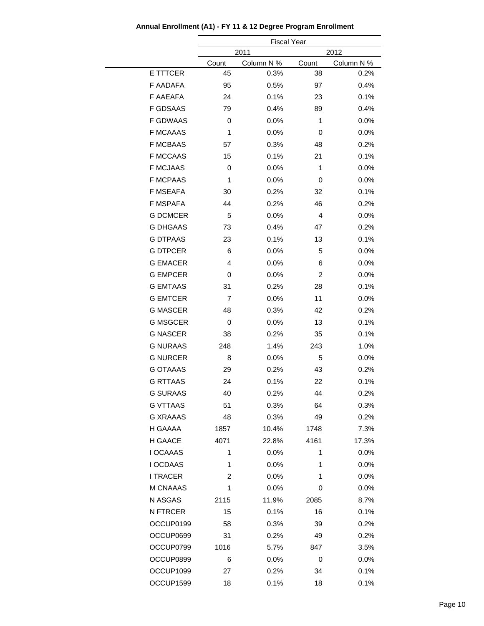|                 |              | <b>Fiscal Year</b> |       |            |
|-----------------|--------------|--------------------|-------|------------|
|                 |              | 2011               |       | 2012       |
|                 | Count        | Column N %         | Count | Column N % |
| E TTTCER        | 45           | 0.3%               | 38    | 0.2%       |
| <b>F AADAFA</b> | 95           | 0.5%               | 97    | 0.4%       |
| <b>F AAEAFA</b> | 24           | 0.1%               | 23    | 0.1%       |
| <b>F GDSAAS</b> | 79           | 0.4%               | 89    | 0.4%       |
| <b>F GDWAAS</b> | 0            | 0.0%               | 1     | 0.0%       |
| <b>F MCAAAS</b> | $\mathbf{1}$ | 0.0%               | 0     | 0.0%       |
| <b>F MCBAAS</b> | 57           | 0.3%               | 48    | 0.2%       |
| <b>F MCCAAS</b> | 15           | 0.1%               | 21    | 0.1%       |
| <b>F MCJAAS</b> | 0            | 0.0%               | 1     | 0.0%       |
| <b>F MCPAAS</b> | $\mathbf{1}$ | 0.0%               | 0     | 0.0%       |
| <b>F MSEAFA</b> | 30           | 0.2%               | 32    | 0.1%       |
| <b>F MSPAFA</b> | 44           | 0.2%               | 46    | 0.2%       |
| <b>G DCMCER</b> | 5            | 0.0%               | 4     | 0.0%       |
| <b>G DHGAAS</b> | 73           | 0.4%               | 47    | 0.2%       |
| <b>G DTPAAS</b> | 23           | 0.1%               | 13    | 0.1%       |
| <b>G DTPCER</b> | 6            | 0.0%               | 5     | 0.0%       |
| <b>G EMACER</b> | 4            | 0.0%               | 6     | 0.0%       |
| <b>G EMPCER</b> | 0            | 0.0%               | 2     | 0.0%       |
| <b>G EMTAAS</b> | 31           | 0.2%               | 28    | 0.1%       |
| <b>G EMTCER</b> | 7            | 0.0%               | 11    | 0.0%       |
| <b>G MASCER</b> | 48           | 0.3%               | 42    | 0.2%       |
| <b>G MSGCER</b> | 0            | 0.0%               | 13    | 0.1%       |
| <b>G NASCER</b> | 38           | 0.2%               | 35    | 0.1%       |
| <b>G NURAAS</b> | 248          | 1.4%               | 243   | 1.0%       |
| <b>G NURCER</b> | 8            | 0.0%               | 5     | 0.0%       |
| <b>G OTAAAS</b> | 29           | 0.2%               | 43    | 0.2%       |
| <b>G RTTAAS</b> | 24           | 0.1%               | 22    | 0.1%       |
| <b>G SURAAS</b> | 40           | 0.2%               | 44    | 0.2%       |
| <b>G VTTAAS</b> | 51           | 0.3%               | 64    | 0.3%       |
| <b>G XRAAAS</b> | 48           | 0.3%               | 49    | 0.2%       |
| H GAAAA         | 1857         | 10.4%              | 1748  | 7.3%       |
| H GAACE         | 4071         | 22.8%              | 4161  | 17.3%      |
| I OCAAAS        | 1            | 0.0%               | 1     | 0.0%       |
| I OCDAAS        | 1            | 0.0%               | 1     | 0.0%       |
| <b>I TRACER</b> | 2            | 0.0%               | 1     | 0.0%       |
| M CNAAAS        | 1            | 0.0%               | 0     | 0.0%       |
| N ASGAS         | 2115         | 11.9%              | 2085  | 8.7%       |
| N FTRCER        | 15           | 0.1%               | 16    | 0.1%       |
| OCCUP0199       | 58           | 0.3%               | 39    | 0.2%       |
| OCCUP0699       | 31           | 0.2%               | 49    | 0.2%       |
| OCCUP0799       | 1016         | 5.7%               | 847   | 3.5%       |
| OCCUP0899       | 6            | 0.0%               | 0     | 0.0%       |
| OCCUP1099       | 27           | 0.2%               | 34    | 0.1%       |
| OCCUP1599       | 18           | 0.1%               | 18    | 0.1%       |

**Annual Enrollment (A1) - FY 11 & 12 Degree Program Enrollment**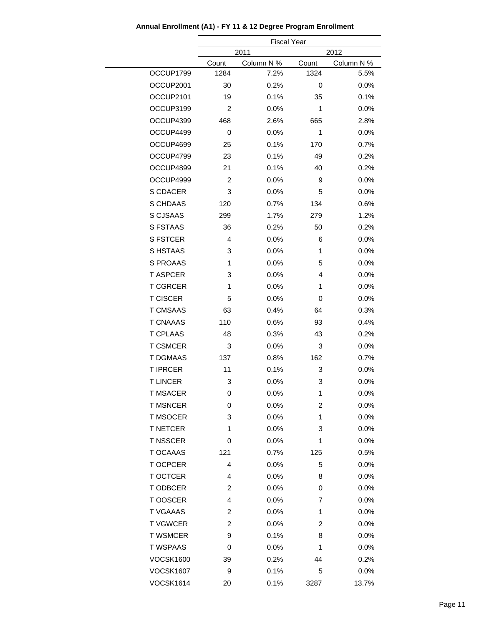|                  |                | <b>Fiscal Year</b> |              |            |
|------------------|----------------|--------------------|--------------|------------|
|                  |                | 2011               |              | 2012       |
|                  | Count          | Column N %         | Count        | Column N % |
| OCCUP1799        | 1284           | 7.2%               | 1324         | 5.5%       |
| OCCUP2001        | 30             | 0.2%               | 0            | 0.0%       |
| OCCUP2101        | 19             | 0.1%               | 35           | 0.1%       |
| OCCUP3199        | $\overline{c}$ | 0.0%               | $\mathbf{1}$ | 0.0%       |
| OCCUP4399        | 468            | 2.6%               | 665          | 2.8%       |
| OCCUP4499        | 0              | 0.0%               | 1            | 0.0%       |
| OCCUP4699        | 25             | 0.1%               | 170          | 0.7%       |
| OCCUP4799        | 23             | 0.1%               | 49           | 0.2%       |
| OCCUP4899        | 21             | 0.1%               | 40           | 0.2%       |
| OCCUP4999        | $\overline{c}$ | 0.0%               | 9            | 0.0%       |
| S CDACER         | 3              | 0.0%               | 5            | 0.0%       |
| S CHDAAS         | 120            | 0.7%               | 134          | 0.6%       |
| S CJSAAS         | 299            | 1.7%               | 279          | 1.2%       |
| <b>S FSTAAS</b>  | 36             | 0.2%               | 50           | 0.2%       |
| <b>S FSTCER</b>  | 4              | 0.0%               | 6            | 0.0%       |
| S HSTAAS         | 3              | 0.0%               | $\mathbf{1}$ | 0.0%       |
| <b>S PROAAS</b>  | 1              | 0.0%               | 5            | 0.0%       |
| <b>T ASPCER</b>  | 3              | 0.0%               | 4            | 0.0%       |
| <b>T CGRCER</b>  | 1              | 0.0%               | 1            | 0.0%       |
| <b>T CISCER</b>  | 5              | 0.0%               | 0            | 0.0%       |
| <b>T CMSAAS</b>  | 63             | 0.4%               | 64           | 0.3%       |
| <b>T CNAAAS</b>  | 110            | 0.6%               | 93           | 0.4%       |
| <b>T CPLAAS</b>  | 48             | 0.3%               | 43           | 0.2%       |
| <b>T CSMCER</b>  | 3              | 0.0%               | 3            | 0.0%       |
| <b>T DGMAAS</b>  | 137            | 0.8%               | 162          | 0.7%       |
| <b>T IPRCER</b>  | 11             | 0.1%               | 3            | 0.0%       |
| <b>TLINCER</b>   | 3              | 0.0%               | 3            | 0.0%       |
| <b>T MSACER</b>  | 0              | 0.0%               | 1            | 0.0%       |
| <b>T MSNCER</b>  | 0              | 0.0%               | 2            | 0.0%       |
| <b>T MSOCER</b>  | 3              | 0.0%               | 1            | 0.0%       |
| <b>T NETCER</b>  | 1              | 0.0%               | 3            | 0.0%       |
| <b>T NSSCER</b>  | 0              | 0.0%               | 1            | 0.0%       |
| <b>T OCAAAS</b>  | 121            | 0.7%               | 125          | 0.5%       |
| <b>TOCPCER</b>   | 4              | 0.0%               | 5            | 0.0%       |
| <b>T OCTCER</b>  | 4              | 0.0%               | 8            | 0.0%       |
| T ODBCER         | 2              | 0.0%               | 0            | 0.0%       |
| T OOSCER         | 4              | 0.0%               | 7            | 0.0%       |
| <b>T VGAAAS</b>  | 2              | 0.0%               | 1            | 0.0%       |
| <b>TVGWCER</b>   | 2              | 0.0%               | 2            | 0.0%       |
| <b>T WSMCER</b>  | 9              | 0.1%               | 8            | 0.0%       |
| <b>T WSPAAS</b>  | 0              | 0.0%               | 1            | 0.0%       |
| <b>VOCSK1600</b> | 39             | 0.2%               | 44           | 0.2%       |
| <b>VOCSK1607</b> | 9              | 0.1%               | 5            | 0.0%       |
| <b>VOCSK1614</b> | 20             | 0.1%               | 3287         | 13.7%      |

## **Annual Enrollment (A1) - FY 11 & 12 Degree Program Enrollment**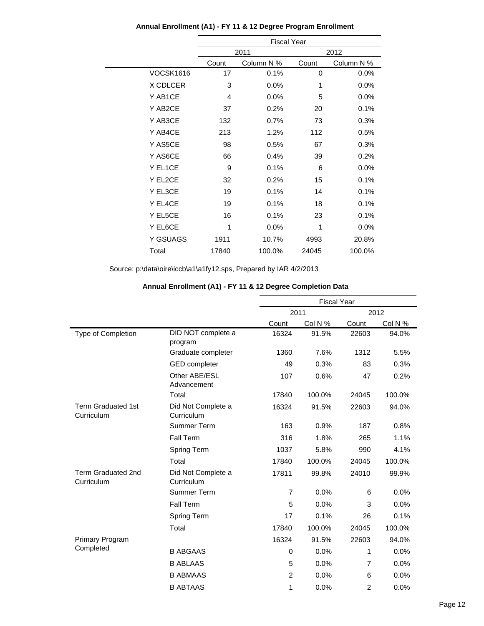|                  | <b>Fiscal Year</b> |            |       |            |  |
|------------------|--------------------|------------|-------|------------|--|
|                  |                    | 2011       |       | 2012       |  |
|                  | Count              | Column N % | Count | Column N % |  |
| <b>VOCSK1616</b> | 17                 | 0.1%       | 0     | 0.0%       |  |
| X CDLCER         | 3                  | $0.0\%$    | 1     | 0.0%       |  |
| Y AB1CE          | 4                  | 0.0%       | 5     | 0.0%       |  |
| Y AB2CE          | 37                 | 0.2%       | 20    | 0.1%       |  |
| Y AB3CE          | 132                | 0.7%       | 73    | 0.3%       |  |
| Y AB4CE          | 213                | 1.2%       | 112   | 0.5%       |  |
| Y AS5CE          | 98                 | 0.5%       | 67    | 0.3%       |  |
| Y AS6CE          | 66                 | 0.4%       | 39    | 0.2%       |  |
| Y EL1CE          | 9                  | 0.1%       | 6     | 0.0%       |  |
| Y EL2CE          | 32                 | 0.2%       | 15    | 0.1%       |  |
| Y EL3CE          | 19                 | 0.1%       | 14    | 0.1%       |  |
| Y EL4CE          | 19                 | 0.1%       | 18    | 0.1%       |  |
| Y EL5CE          | 16                 | 0.1%       | 23    | 0.1%       |  |
| Y EL6CE          | 1                  | 0.0%       | 1     | $0.0\%$    |  |
| Y GSUAGS         | 1911               | 10.7%      | 4993  | 20.8%      |  |
| Total            | 17840              | 100.0%     | 24045 | 100.0%     |  |
|                  |                    |            |       |            |  |

#### **Annual Enrollment (A1) - FY 11 & 12 Degree Program Enrollment**

| Annual Enrollment (A1) - FY 11 & 12 Degree Completion Data |  |
|------------------------------------------------------------|--|
|                                                            |  |

|                                         |                                  | <b>Fiscal Year</b> |         |                |         |
|-----------------------------------------|----------------------------------|--------------------|---------|----------------|---------|
|                                         |                                  |                    | 2011    |                | 2012    |
|                                         |                                  | Count              | Col N % | Count          | Col N % |
| Type of Completion                      | DID NOT complete a<br>program    | 16324              | 91.5%   | 22603          | 94.0%   |
|                                         | Graduate completer               | 1360               | 7.6%    | 1312           | 5.5%    |
|                                         | <b>GED</b> completer             | 49                 | 0.3%    | 83             | 0.3%    |
|                                         | Other ABE/ESL<br>Advancement     | 107                | 0.6%    | 47             | 0.2%    |
|                                         | Total                            | 17840              | 100.0%  | 24045          | 100.0%  |
| <b>Term Graduated 1st</b><br>Curriculum | Did Not Complete a<br>Curriculum | 16324              | 91.5%   | 22603          | 94.0%   |
|                                         | Summer Term                      | 163                | 0.9%    | 187            | 0.8%    |
|                                         | Fall Term                        | 316                | 1.8%    | 265            | 1.1%    |
|                                         | Spring Term                      | 1037               | 5.8%    | 990            | 4.1%    |
|                                         | Total                            | 17840              | 100.0%  | 24045          | 100.0%  |
| <b>Term Graduated 2nd</b><br>Curriculum | Did Not Complete a<br>Curriculum | 17811              | 99.8%   | 24010          | 99.9%   |
|                                         | Summer Term                      | $\overline{7}$     | 0.0%    | 6              | 0.0%    |
|                                         | Fall Term                        | 5                  | 0.0%    | 3              | 0.0%    |
|                                         | Spring Term                      | 17                 | 0.1%    | 26             | 0.1%    |
|                                         | Total                            | 17840              | 100.0%  | 24045          | 100.0%  |
| <b>Primary Program</b>                  |                                  | 16324              | 91.5%   | 22603          | 94.0%   |
| Completed                               | <b>B ABGAAS</b>                  | $\mathbf 0$        | 0.0%    | 1              | 0.0%    |
|                                         | <b>B ABLAAS</b>                  | 5                  | 0.0%    | $\overline{7}$ | 0.0%    |
|                                         | <b>B ABMAAS</b>                  | $\overline{2}$     | 0.0%    | 6              | 0.0%    |
|                                         | <b>B ABTAAS</b>                  | 1                  | 0.0%    | $\overline{2}$ | 0.0%    |
|                                         |                                  |                    |         |                |         |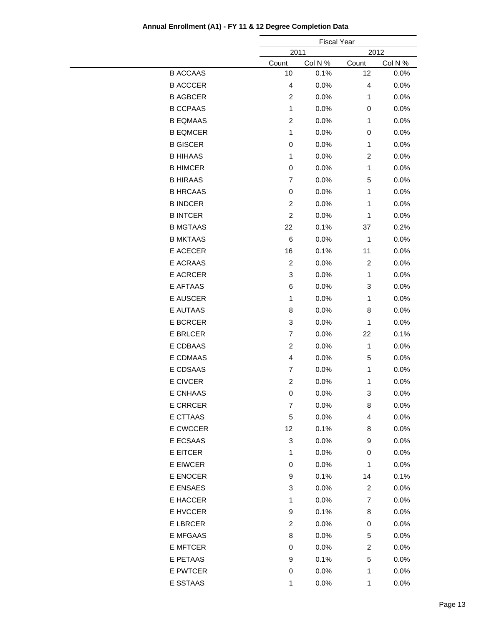|                 |                           | <b>Fiscal Year</b> |                  |         |
|-----------------|---------------------------|--------------------|------------------|---------|
|                 |                           | 2011<br>2012       |                  |         |
|                 | Count                     | Col N %            | Count            | Col N % |
| <b>B ACCAAS</b> | 10                        | 0.1%               | 12               | 0.0%    |
| <b>B ACCCER</b> | 4                         | 0.0%               | 4                | 0.0%    |
| <b>B AGBCER</b> | $\boldsymbol{2}$          | 0.0%               | 1                | 0.0%    |
| <b>B CCPAAS</b> | 1                         | 0.0%               | $\,0\,$          | 0.0%    |
| <b>B EQMAAS</b> | $\overline{c}$            | 0.0%               | 1                | 0.0%    |
| <b>B EQMCER</b> | 1                         | 0.0%               | $\,0\,$          | 0.0%    |
| <b>B GISCER</b> | 0                         | 0.0%               | 1                | 0.0%    |
| <b>B HIHAAS</b> | 1                         | 0.0%               | $\boldsymbol{2}$ | 0.0%    |
| <b>B HIMCER</b> | 0                         | 0.0%               | 1                | 0.0%    |
| <b>B HIRAAS</b> | $\overline{7}$            | 0.0%               | 5                | 0.0%    |
| <b>B HRCAAS</b> | $\mathbf 0$               | 0.0%               | 1                | 0.0%    |
| <b>B INDCER</b> | $\overline{c}$            | 0.0%               | 1                | 0.0%    |
| <b>B INTCER</b> | $\boldsymbol{2}$          | 0.0%               | 1                | 0.0%    |
| <b>B MGTAAS</b> | 22                        | 0.1%               | 37               | 0.2%    |
| <b>B MKTAAS</b> | 6                         | 0.0%               | $\mathbf{1}$     | 0.0%    |
| E ACECER        | 16                        | 0.1%               | 11               | 0.0%    |
| E ACRAAS        | $\boldsymbol{2}$          | 0.0%               | $\boldsymbol{2}$ | 0.0%    |
| E ACRCER        | 3                         | 0.0%               | 1                | 0.0%    |
| E AFTAAS        | 6                         | 0.0%               | 3                | 0.0%    |
| E AUSCER        | 1                         | 0.0%               | 1                | 0.0%    |
| E AUTAAS        | 8                         | 0.0%               | 8                | 0.0%    |
| E BCRCER        | 3                         | 0.0%               | 1                | 0.0%    |
| <b>E BRLCER</b> | $\overline{7}$            | 0.0%               | 22               | 0.1%    |
| E CDBAAS        | $\overline{c}$            | 0.0%               | $\mathbf{1}$     | 0.0%    |
| E CDMAAS        | 4                         | 0.0%               | 5                | 0.0%    |
| E CDSAAS        | $\overline{7}$            |                    |                  |         |
|                 |                           | 0.0%               | 1                | 0.0%    |
| E CIVCER        | $\boldsymbol{2}$          | 0.0%               | 1                | 0.0%    |
| E CNHAAS        | 0                         | 0.0%               | 3                | 0.0%    |
| <b>E CRRCER</b> | $\overline{7}$            | 0.0%               | 8                | 0.0%    |
| E CTTAAS        | $\mathbf 5$               | 0.0%               | 4                | 0.0%    |
| E CWCCER        | 12                        | 0.1%               | 8                | 0.0%    |
| E ECSAAS        | $\sqrt{3}$                | 0.0%               | 9                | 0.0%    |
| E EITCER        | 1                         | 0.0%               | 0                | 0.0%    |
| E EIWCER        | 0                         | 0.0%               | $\mathbf{1}$     | 0.0%    |
| E ENOCER        | 9                         | 0.1%               | 14               | 0.1%    |
| E ENSAES        | $\ensuremath{\mathsf{3}}$ | 0.0%               | $\overline{c}$   | 0.0%    |
| E HACCER        | 1                         | 0.0%               | 7                | 0.0%    |
| E HVCCER        | 9                         | 0.1%               | 8                | 0.0%    |
| E LBRCER        | $\overline{c}$            | 0.0%               | 0                | 0.0%    |
| E MFGAAS        | 8                         | 0.0%               | 5                | 0.0%    |
| <b>E MFTCER</b> | 0                         | 0.0%               | $\overline{c}$   | 0.0%    |
| E PETAAS        | 9                         | 0.1%               | 5                | 0.0%    |
| E PWTCER        | 0                         | 0.0%               | $\mathbf{1}$     | 0.0%    |
| E SSTAAS        | $\mathbf{1}$              | 0.0%               | $\mathbf{1}$     | 0.0%    |

### **Annual Enrollment (A1) - FY 11 & 12 Degree Completion Data**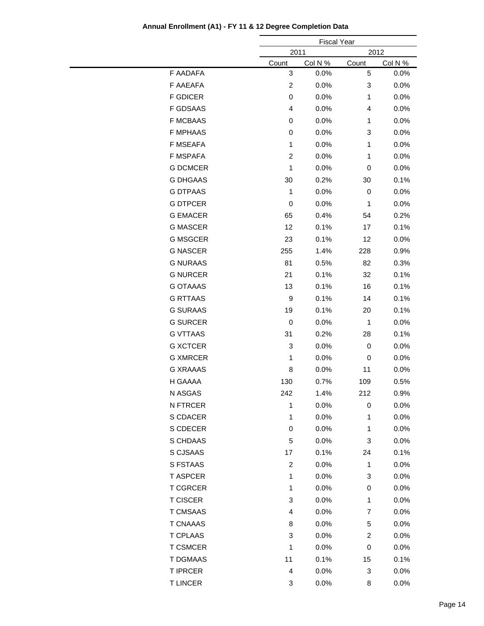|                 |                         | <b>Fiscal Year</b> |                         |         |
|-----------------|-------------------------|--------------------|-------------------------|---------|
|                 | 2011<br>2012            |                    |                         |         |
|                 | Count                   | Col N %            | Count                   | Col N % |
| F AADAFA        | 3                       | 0.0%               | 5                       | 0.0%    |
| F AAEAFA        | $\overline{c}$          | 0.0%               | 3                       | 0.0%    |
| <b>F GDICER</b> | 0                       | 0.0%               | 1                       | 0.0%    |
| <b>F GDSAAS</b> | 4                       | 0.0%               | 4                       | 0.0%    |
| <b>F MCBAAS</b> | 0                       | 0.0%               | 1                       | 0.0%    |
| <b>F MPHAAS</b> | $\mathbf 0$             | 0.0%               | 3                       | 0.0%    |
| <b>F MSEAFA</b> | 1                       | 0.0%               | 1                       | 0.0%    |
| F MSPAFA        | $\overline{c}$          | 0.0%               | 1                       | 0.0%    |
| <b>G DCMCER</b> | 1                       | 0.0%               | 0                       | 0.0%    |
| <b>G DHGAAS</b> | 30                      | 0.2%               | 30                      | 0.1%    |
| <b>G DTPAAS</b> | 1                       | 0.0%               | 0                       | 0.0%    |
| <b>G DTPCER</b> | $\mathbf 0$             | 0.0%               | 1                       | 0.0%    |
| <b>G EMACER</b> | 65                      | 0.4%               | 54                      | 0.2%    |
| <b>G MASCER</b> | 12                      | 0.1%               | 17                      | 0.1%    |
| <b>G MSGCER</b> | 23                      | 0.1%               | 12                      | 0.0%    |
| <b>G NASCER</b> | 255                     | 1.4%               | 228                     | 0.9%    |
| <b>G NURAAS</b> | 81                      | 0.5%               | 82                      | 0.3%    |
| <b>G NURCER</b> | 21                      | 0.1%               | 32                      | 0.1%    |
| <b>G OTAAAS</b> | 13                      | 0.1%               | 16                      | 0.1%    |
| <b>G RTTAAS</b> | $\boldsymbol{9}$        | 0.1%               | 14                      | 0.1%    |
| <b>G SURAAS</b> | 19                      | 0.1%               | 20                      | 0.1%    |
| <b>G SURCER</b> | $\mathbf 0$             | 0.0%               | $\mathbf{1}$            | 0.0%    |
| <b>G VTTAAS</b> | 31                      | 0.2%               | 28                      | 0.1%    |
| <b>G XCTCER</b> | 3                       | 0.0%               | $\,0\,$                 | 0.0%    |
| <b>G XMRCER</b> | 1                       | 0.0%               | 0                       | 0.0%    |
| <b>G XRAAAS</b> | 8                       | 0.0%               | 11                      | 0.0%    |
| H GAAAA         | 130                     | 0.7%               | 109                     | 0.5%    |
| N ASGAS         | 242                     | 1.4%               | 212                     | 0.9%    |
| N FTRCER        | 1                       | 0.0%               | 0                       | 0.0%    |
| S CDACER        | 1                       | 0.0%               | 1                       | 0.0%    |
| S CDECER        | 0                       | 0.0%               | 1                       | 0.0%    |
| S CHDAAS        | 5                       | 0.0%               | 3                       | 0.0%    |
| S CJSAAS        | 17                      | 0.1%               | 24                      | 0.1%    |
| S FSTAAS        | $\boldsymbol{2}$        | 0.0%               | $\mathbf{1}$            | 0.0%    |
| <b>T ASPCER</b> | 1                       | 0.0%               | 3                       | 0.0%    |
| <b>T CGRCER</b> | 1                       | 0.0%               | 0                       | 0.0%    |
| <b>T CISCER</b> | 3                       | 0.0%               | 1                       | 0.0%    |
| <b>T CMSAAS</b> | 4                       | 0.0%               | 7                       | 0.0%    |
| <b>T CNAAAS</b> | 8                       | 0.0%               | 5                       | 0.0%    |
| <b>T CPLAAS</b> | 3                       | 0.0%               | $\overline{\mathbf{c}}$ | 0.0%    |
| <b>T CSMCER</b> | 1                       | 0.0%               | 0                       | 0.0%    |
| <b>T DGMAAS</b> | 11                      | 0.1%               | 15                      | 0.1%    |
| <b>T IPRCER</b> | $\overline{\mathbf{4}}$ | 0.0%               | 3                       | 0.0%    |
| <b>TLINCER</b>  | 3                       | 0.0%               | 8                       | 0.0%    |
|                 |                         |                    |                         |         |

### **Annual Enrollment (A1) - FY 11 & 12 Degree Completion Data**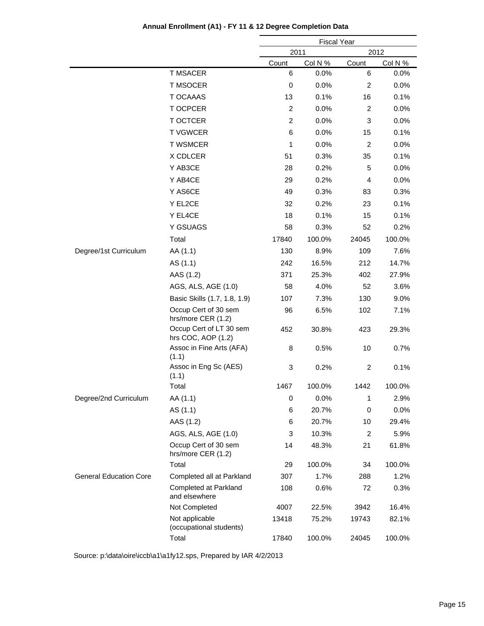|                               |                                               |             | <b>Fiscal Year</b> |                |         |
|-------------------------------|-----------------------------------------------|-------------|--------------------|----------------|---------|
|                               |                                               |             | 2011               |                | 2012    |
|                               |                                               | Count       | Col N %            | Count          | Col N % |
|                               | <b>T MSACER</b>                               | 6           | 0.0%               | 6              | 0.0%    |
|                               | <b>T MSOCER</b>                               | $\mathbf 0$ | 0.0%               | 2              | 0.0%    |
|                               | <b>T OCAAAS</b>                               | 13          | 0.1%               | 16             | 0.1%    |
|                               | T OCPCER                                      | 2           | 0.0%               | $\overline{2}$ | 0.0%    |
|                               | T OCTCER                                      | 2           | 0.0%               | 3              | 0.0%    |
|                               | <b>TVGWCER</b>                                | 6           | 0.0%               | 15             | 0.1%    |
|                               | <b>T WSMCER</b>                               | 1           | 0.0%               | $\overline{c}$ | 0.0%    |
|                               | X CDLCER                                      | 51          | 0.3%               | 35             | 0.1%    |
|                               | Y AB3CE                                       | 28          | 0.2%               | 5              | 0.0%    |
|                               | Y AB4CE                                       | 29          | 0.2%               | 4              | 0.0%    |
|                               | Y AS6CE                                       | 49          | 0.3%               | 83             | 0.3%    |
|                               | Y EL2CE                                       | 32          | 0.2%               | 23             | 0.1%    |
|                               | Y EL4CE                                       | 18          | 0.1%               | 15             | 0.1%    |
|                               | Y GSUAGS                                      | 58          | 0.3%               | 52             | 0.2%    |
|                               | Total                                         | 17840       | 100.0%             | 24045          | 100.0%  |
| Degree/1st Curriculum         | AA (1.1)                                      | 130         | 8.9%               | 109            | 7.6%    |
|                               | AS (1.1)                                      | 242         | 16.5%              | 212            | 14.7%   |
|                               | AAS (1.2)                                     | 371         | 25.3%              | 402            | 27.9%   |
|                               | AGS, ALS, AGE (1.0)                           | 58          | 4.0%               | 52             | 3.6%    |
|                               | Basic Skills (1.7, 1.8, 1.9)                  | 107         | 7.3%               | 130            | 9.0%    |
|                               | Occup Cert of 30 sem<br>hrs/more CER (1.2)    | 96          | 6.5%               | 102            | 7.1%    |
|                               | Occup Cert of LT 30 sem<br>hrs COC, AOP (1.2) | 452         | 30.8%              | 423            | 29.3%   |
|                               | Assoc in Fine Arts (AFA)<br>(1.1)             | 8           | 0.5%               | 10             | 0.7%    |
|                               | Assoc in Eng Sc (AES)<br>(1.1)                | 3           | 0.2%               | $\overline{c}$ | 0.1%    |
|                               | Total                                         | 1467        | 100.0%             | 1442           | 100.0%  |
| Degree/2nd Curriculum         | AA (1.1)                                      | 0           | 0.0%               | $\mathbf{1}$   | 2.9%    |
|                               | AS (1.1)                                      | 6           | 20.7%              | 0              | 0.0%    |
|                               | AAS (1.2)                                     | 6           | 20.7%              | 10             | 29.4%   |
|                               | AGS, ALS, AGE (1.0)                           | 3           | 10.3%              | $\overline{c}$ | 5.9%    |
|                               | Occup Cert of 30 sem<br>hrs/more CER (1.2)    | 14          | 48.3%              | 21             | 61.8%   |
|                               | Total                                         | 29          | 100.0%             | 34             | 100.0%  |
| <b>General Education Core</b> | Completed all at Parkland                     | 307         | 1.7%               | 288            | 1.2%    |
|                               | Completed at Parkland<br>and elsewhere        | 108         | 0.6%               | 72             | 0.3%    |
|                               | Not Completed                                 | 4007        | 22.5%              | 3942           | 16.4%   |
|                               | Not applicable<br>(occupational students)     | 13418       | 75.2%              | 19743          | 82.1%   |
|                               | Total                                         | 17840       | 100.0%             | 24045          | 100.0%  |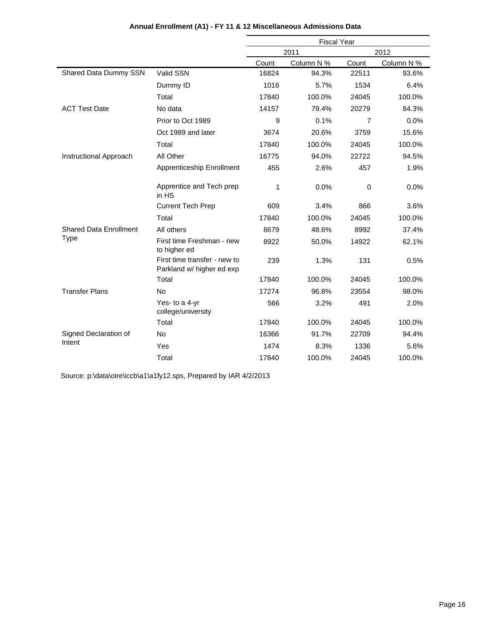|                               |                                                           | <b>Fiscal Year</b> |            |                |            |
|-------------------------------|-----------------------------------------------------------|--------------------|------------|----------------|------------|
|                               |                                                           |                    | 2011       |                | 2012       |
|                               |                                                           | Count              | Column N % | Count          | Column N % |
| Shared Data Dummy SSN         | Valid SSN                                                 | 16824              | 94.3%      | 22511          | 93.6%      |
|                               | Dummy ID                                                  | 1016               | 5.7%       | 1534           | 6.4%       |
|                               | Total                                                     | 17840              | 100.0%     | 24045          | 100.0%     |
| <b>ACT Test Date</b>          | No data                                                   | 14157              | 79.4%      | 20279          | 84.3%      |
|                               | Prior to Oct 1989                                         | 9                  | 0.1%       | $\overline{7}$ | 0.0%       |
|                               | Oct 1989 and later                                        | 3674               | 20.6%      | 3759           | 15.6%      |
|                               | Total                                                     | 17840              | 100.0%     | 24045          | 100.0%     |
| Instructional Approach        | All Other                                                 | 16775              | 94.0%      | 22722          | 94.5%      |
|                               | Apprenticeship Enrollment                                 | 455                | 2.6%       | 457            | 1.9%       |
|                               | Apprentice and Tech prep<br>in HS                         | 1                  | 0.0%       | $\mathbf 0$    | 0.0%       |
|                               | <b>Current Tech Prep</b>                                  | 609                | 3.4%       | 866            | 3.6%       |
|                               | Total                                                     | 17840              | 100.0%     | 24045          | 100.0%     |
| <b>Shared Data Enrollment</b> | All others                                                | 8679               | 48.6%      | 8992           | 37.4%      |
| <b>Type</b>                   | First time Freshman - new<br>to higher ed                 | 8922               | 50.0%      | 14922          | 62.1%      |
|                               | First time transfer - new to<br>Parkland w/ higher ed exp | 239                | 1.3%       | 131            | 0.5%       |
|                               | Total                                                     | 17840              | 100.0%     | 24045          | 100.0%     |
| <b>Transfer Plans</b>         | No                                                        | 17274              | 96.8%      | 23554          | 98.0%      |
|                               | Yes- to a 4-yr<br>college/university                      | 566                | 3.2%       | 491            | 2.0%       |
|                               | Total                                                     | 17840              | 100.0%     | 24045          | 100.0%     |
| Signed Declaration of         | <b>No</b>                                                 | 16366              | 91.7%      | 22709          | 94.4%      |
| Intent                        | Yes                                                       | 1474               | 8.3%       | 1336           | 5.6%       |
|                               | Total                                                     | 17840              | 100.0%     | 24045          | 100.0%     |

### **Annual Enrollment (A1) - FY 11 & 12 Miscellaneous Admissions Data**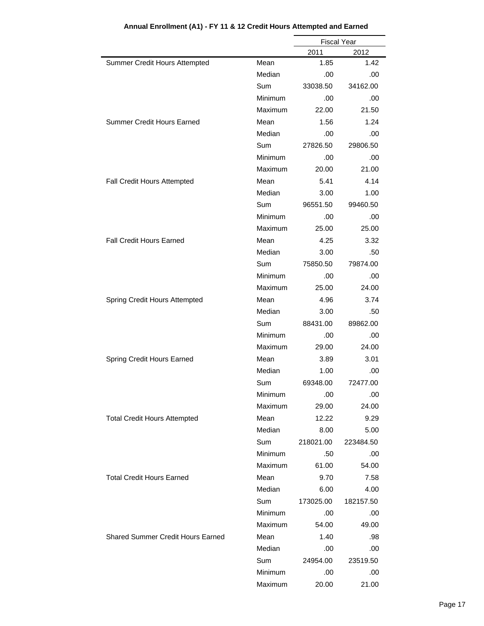|                                          |            | <b>Fiscal Year</b> |           |
|------------------------------------------|------------|--------------------|-----------|
|                                          |            | 2011               | 2012      |
| Summer Credit Hours Attempted            | Mean       | 1.85               | 1.42      |
|                                          | Median     | .00                | .00       |
|                                          | <b>Sum</b> | 33038.50           | 34162.00  |
|                                          | Minimum    | .00                | .00       |
|                                          | Maximum    | 22.00              | 21.50     |
| <b>Summer Credit Hours Earned</b>        | Mean       | 1.56               | 1.24      |
|                                          | Median     | .00                | .00       |
|                                          | <b>Sum</b> | 27826.50           | 29806.50  |
|                                          | Minimum    | .00                | .00       |
|                                          | Maximum    | 20.00              | 21.00     |
| Fall Credit Hours Attempted              | Mean       | 5.41               | 4.14      |
|                                          | Median     | 3.00               | 1.00      |
|                                          | Sum        | 96551.50           | 99460.50  |
|                                          | Minimum    | .00                | .00       |
|                                          | Maximum    | 25.00              | 25.00     |
| <b>Fall Credit Hours Earned</b>          | Mean       | 4.25               | 3.32      |
|                                          | Median     | 3.00               | .50       |
|                                          | Sum        | 75850.50           | 79874.00  |
|                                          | Minimum    | .00                | .00       |
|                                          | Maximum    | 25.00              | 24.00     |
| Spring Credit Hours Attempted            | Mean       | 4.96               | 3.74      |
|                                          | Median     | 3.00               | .50       |
|                                          | Sum        | 88431.00           | 89862.00  |
|                                          | Minimum    | .00                | .00       |
|                                          | Maximum    | 29.00              | 24.00     |
| Spring Credit Hours Earned               | Mean       | 3.89               | 3.01      |
|                                          | Median     | 1.00               | .00       |
|                                          | Sum        | 69348.00           | 72477.00  |
|                                          | Minimum    | .00                | .00       |
|                                          | Maximum    | 29.00              | 24.00     |
| <b>Total Credit Hours Attempted</b>      | Mean       | 12.22              | 9.29      |
|                                          | Median     | 8.00               | 5.00      |
|                                          | Sum        | 218021.00          | 223484.50 |
|                                          | Minimum    | .50                | .00       |
|                                          | Maximum    | 61.00              | 54.00     |
| <b>Total Credit Hours Earned</b>         | Mean       | 9.70               | 7.58      |
|                                          | Median     | 6.00               | 4.00      |
|                                          | Sum        | 173025.00          | 182157.50 |
|                                          | Minimum    | .00                | .00       |
|                                          | Maximum    | 54.00              | 49.00     |
| <b>Shared Summer Credit Hours Earned</b> | Mean       | 1.40               | .98       |
|                                          | Median     | .00                | .00       |
|                                          | Sum        | 24954.00           | 23519.50  |
|                                          | Minimum    | .00                | .00       |
|                                          | Maximum    | 20.00              | 21.00     |

## **Annual Enrollment (A1) - FY 11 & 12 Credit Hours Attempted and Earned**